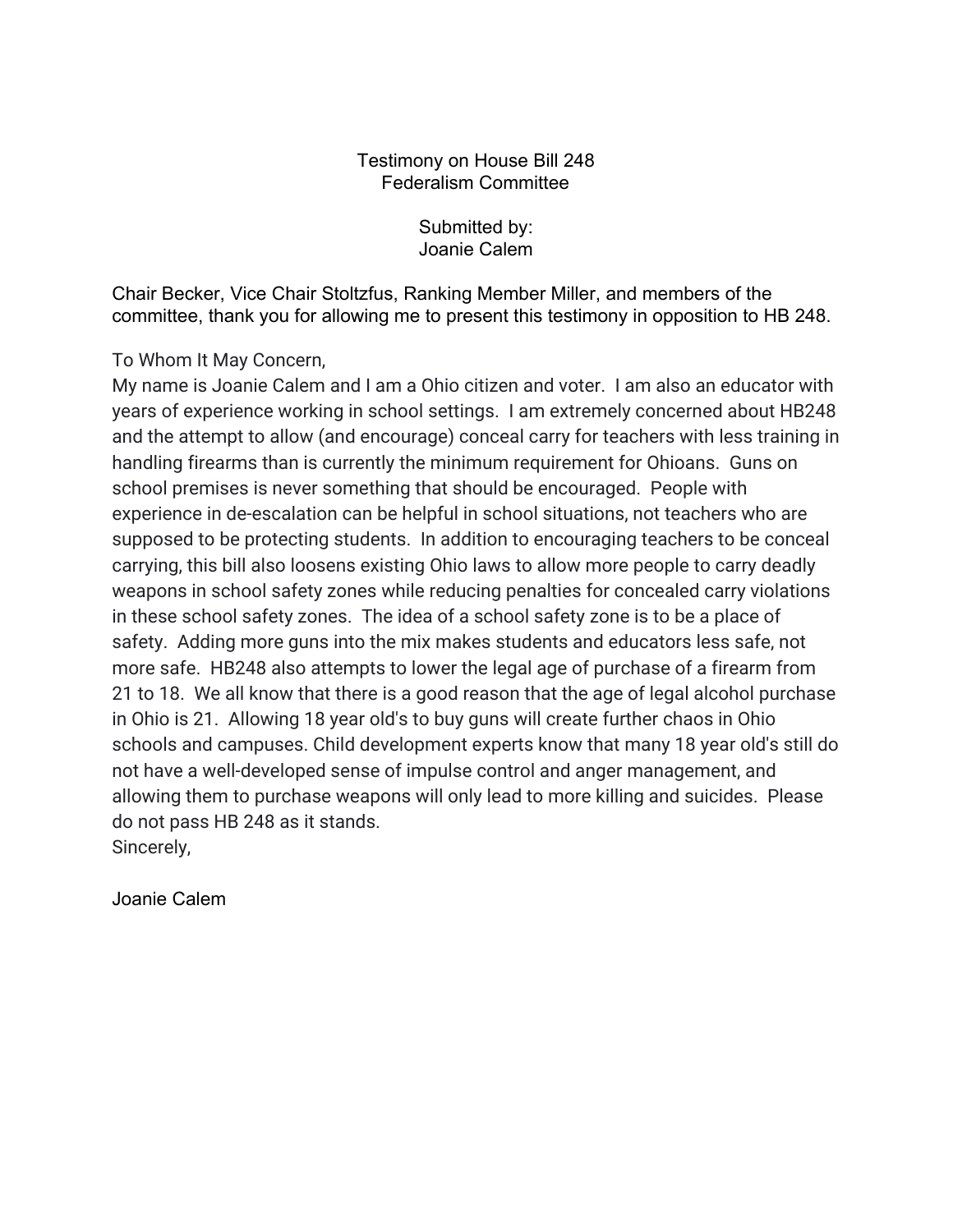## Testimony on House Bill 248 Federalism Committee

Submitted by: Joanie Calem

Chair Becker, Vice Chair Stoltzfus, Ranking Member Miller, and members of the committee, thank you for allowing me to present this testimony in opposition to HB 248.

To Whom It May Concern,

My name is Joanie Calem and I am a Ohio citizen and voter. I am also an educator with years of experience working in school settings. I am extremely concerned about HB248 and the attempt to allow (and encourage) conceal carry for teachers with less training in handling firearms than is currently the minimum requirement for Ohioans. Guns on school premises is never something that should be encouraged. People with experience in de-escalation can be helpful in school situations, not teachers who are supposed to be protecting students. In addition to encouraging teachers to be conceal carrying, this bill also loosens existing Ohio laws to allow more people to carry deadly weapons in school safety zones while reducing penalties for concealed carry violations in these school safety zones. The idea of a school safety zone is to be a place of safety. Adding more guns into the mix makes students and educators less safe, not more safe. HB248 also attempts to lower the legal age of purchase of a firearm from 21 to 18. We all know that there is a good reason that the age of legal alcohol purchase in Ohio is 21. Allowing 18 year old's to buy guns will create further chaos in Ohio schools and campuses. Child development experts know that many 18 year old's still do not have a well-developed sense of impulse control and anger management, and allowing them to purchase weapons will only lead to more killing and suicides. Please do not pass HB 248 as it stands. Sincerely,

Joanie Calem